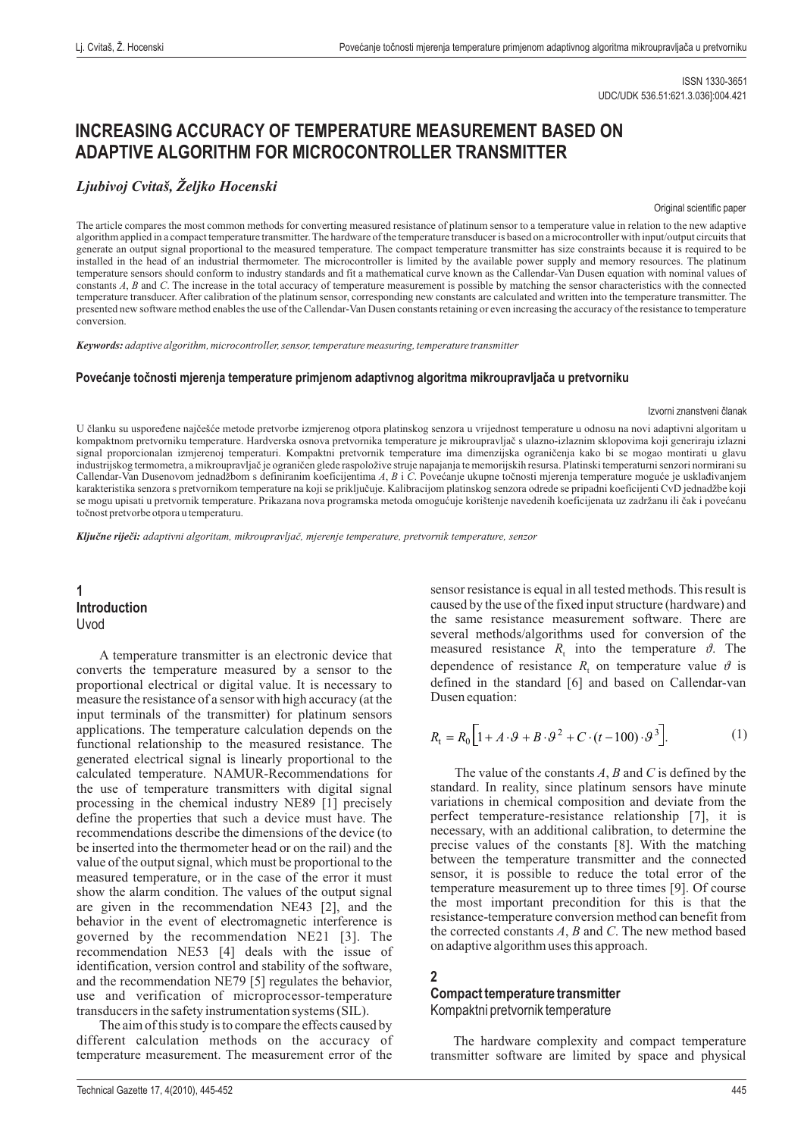## **INCREASING ACCURACY OF TEMPERATURE MEASUREMENT BASED ON ADAPTIVE ALGORITHM FOR MICROCONTROLLER TRANSMITTER**

## *Ljubivoj Cvitaš, Željko Hocenski*

#### Original scientific paper

The article compares the most common methods for converting measured resistance of platinum sensor to a temperature value in relation to the new adaptive algorithm applied in a compact temperature transmitter. The hardware of the temperature transducer is based on a microcontroller with input/output circuits that generate an output signal proportional to the measured temperature. The compact temperature transmitter has size constraints because it is required to be installed in the head of an industrial thermometer. The microcontroller is limited by the available power supply and memory resources. The platinum temperature sensors should conform to industry standards and fit a mathematical curve known as the Callendar-Van Dusen equation with nominal values of constants A, B and C. The increase in the total accuracy of temperature measurement is possible by matching the sensor characteristics with the connected temperature transducer. After calibration of the platinum sensor, corresponding new constants are calculated and written into the temperature transmitter. The presented new software method enables the use of the Callendar-Van Dusen constants retaining or even increasing the accuracy of the resistance to temperature conversion.

*Keywords: adaptive algorithm, microcontroller, sensor, temperature measuring, temperature transmitter*

#### **Povećan toč mjerenja temperature primjenom adaptivnog algoritma mikroupravljač je nosti a u pretvorniku**

#### Izvorni znanstveni članak

U članku su uspoređene najčešće metode pretvorbe izmjerenog otpora platinskog senzora u vrijednost temperature u odnosu na novi a daptivni algoritam u kompaktnom pretvorniku temperature. Hardverska osnova pretvornika temperature je mikroupravljač s ulazno-izlaznim sklopovima koji generiraju izlazni signal proporcionalan izmjerenoj temperaturi. Kompaktni pretvornik temperature ima dimenzijska ograničenja kako bi se mogao montirati u glavu industrijskog termometra, a mikroupravljač je ograničen glede raspoložive struje napajanja te memorijskih resursa. Platinski temperaturni senzori normirani su Callendar-Van Dusenovom jednadžbom s definiranim koeficijentima A, B i C. Povećanje ukupne točnosti mjerenja temperature moguće je usklađivanjem karakteristika senzora s pretvornikom temperature na koji se priključuje. Kalibracijom platinskog senzora odrede se pripadni koeficijenti CvD jednadž be koji se mogu upisati u pretvornik temperature. Prikazana nova programska metoda omogućuje korištenje navedenih koeficijenata uz zadržanu ili čak i povećanu točnost pretvorbe otpora u temperaturu.

*Ključne riječi: adaptivni algoritam, mikroupravljač, mjerenje temperature, pretvornik temperature, senzor*

## **1 Introduction** Uvod

A temperature transmitter is an electronic device that converts the temperature measured by a sensor to the proportional electrical or digital value. It is necessary to measure the resistance of a sensor with high accuracy (at the input terminals of the transmitter) for platinum sensors applications. The temperature calculation depends on the functional relationship to the measured resistance. The generated electrical signal is linearly proportional to the calculated temperature. NAMUR-Recommendations for the use of temperature transmitters with digital signal processing in the chemical industry NE89 [1] precisely define the properties that such a device must have. The recommendations describe the dimensions of the device (to be inserted into the thermometer head or on the rail) and the value of the output signal, which must be proportional to the measured temperature, or in the case of the error it must show the alarm condition. The values of the output signal are given in the recommendation NE43 [2], and the behavior in the event of electromagnetic interference is governed by the recommendation NE21 [3]. The recommendation NE53 [4] deals with the issue of identification, version control and stability of the software, and the recommendation NE79 [5] regulates the behavior, use and verification of microprocessor-temperature transducers in the safety instrumentation systems (SIL).

The aim of this study is to compare the effects caused by different calculation methods on the accuracy of temperature measurement. The measurement error of the

sensor resistance is equal in all tested methods. This result is caused by the use of the fixed input structure (hardware) and the same resistance measurement software. There are several methods/algorithms used for conversion of the measured resistance  $R_t$  into the temperature  $\vartheta$ . The dependence of resistance  $R_t$  on temperature value  $\vartheta$  is defined in the standard [6] and based on Callendar-van Dusen equation:

$$
R_{t} = R_{0} \left[ 1 + A \cdot \vartheta + B \cdot \vartheta^{2} + C \cdot (t - 100) \cdot \vartheta^{3} \right].
$$
 (1)

The value of the constants  $A$ ,  $B$  and  $C$  is defined by the standard. In reality, since platinum sensors have minute variations in chemical composition and deviate from the perfect temperature-resistance relationship [7], it is necessary, with an additional calibration, to determine the precise values of the constants [8]. With the matching between the temperature transmitter and the connected sensor, it is possible to reduce the total error of the temperature measurement up to three times [9]. Of course the most important precondition for this is that the resistance-temperature conversion method can benefit from the corrected constants  $A$ ,  $B$  and  $C$ . The new method based on adaptive algorithm uses this approach.

## **2**

### **Compact temperature transmitter** Kompaktni pretvornik temperature

The hardware complexity and compact temperature transmitter software are limited by space and physical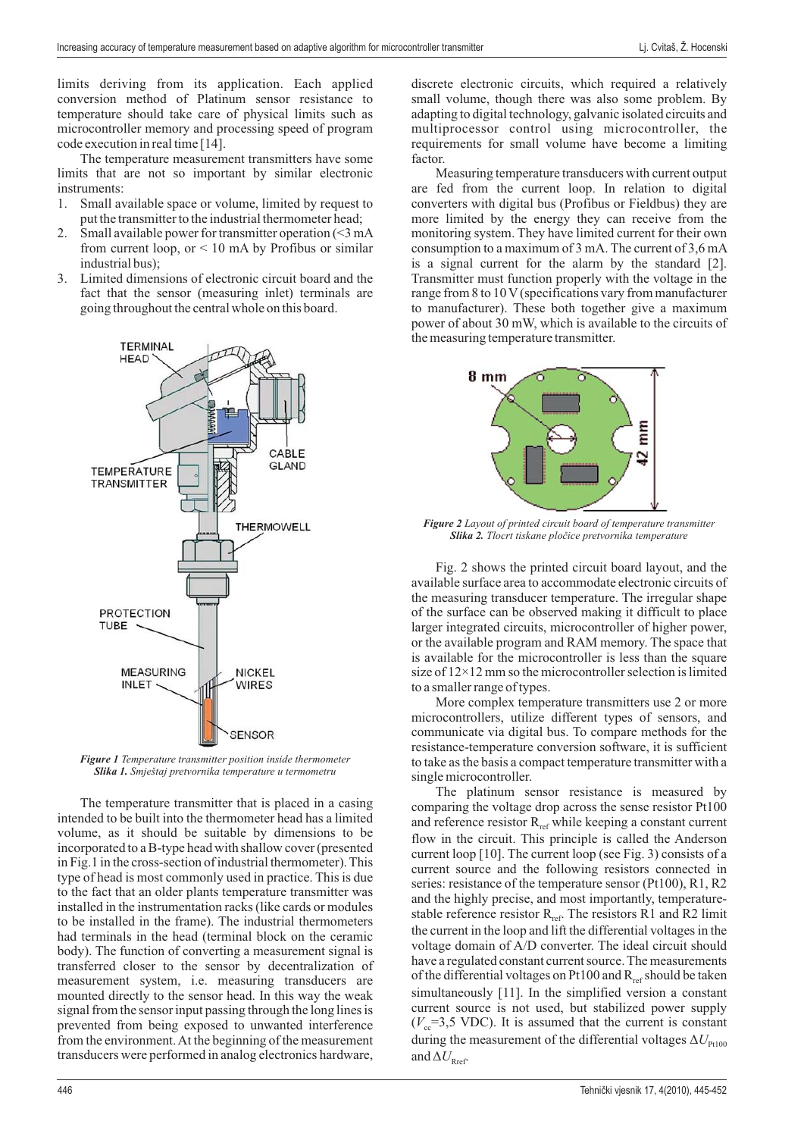limits deriving from its application. Each applied conversion method of Platinum sensor resistance to temperature should take care of physical limits such as microcontroller memory and processing speed of program code execution in real time [14].

The temperature measurement transmitters have some limits that are not so important by similar electronic instruments:

- 1. Small available space or volume, limited by request to put the transmitter to the industrial thermometer head;
- 2. Small available power for transmitter operation (<3 mA from current loop, or  $\leq 10$  mA by Profibus or similar industrial bus);
- 3. Limited dimensions of electronic circuit board and the fact that the sensor (measuring inlet) terminals are going throughout the central whole on this board.



*Figure 1 Temperature transmitter position inside thermometer Slika 1. Smještaj pretvornika temperature u termometru*

measurement system, i.e. measuring transducers are The temperature transmitter that is placed in a casing intended to be built into the thermometer head has a limited volume, as it should be suitable by dimensions to be incorporated to a B-type head with shallow cover (presented in Fig.1 in the cross-section of industrial thermometer). This type of head is most commonly used in practice. This is due to the fact that an older plants temperature transmitter was installed in the instrumentation racks (like cards or modules to be installed in the frame). The industrial thermometers had terminals in the head (terminal block on the ceramic body). The function of converting a measurement signal is transferred closer to the sensor by decentralization of mounted directly to the sensor head. In this way the weak signal from the sensor input passing through the long lines is prevented from being exposed to unwanted interference from the environment.At the beginning of the measurement transducers were performed in analog electronics hardware,

discrete electronic circuits, which required a relatively small volume, though there was also some problem. By adapting to digital technology, galvanic isolated circuits and multiprocessor control using microcontroller, the requirements for small volume have become a limiting factor.

Measuring temperature transducers with current output are fed from the current loop. In relation to digital converters with digital bus (Profibus or Fieldbus) they are more limited by the energy they can receive from the monitoring system. They have limited current for their own consumption to a maximum of 3 mA. The current of 3,6 mA is a signal current for the alarm by the standard [2]. Transmitter must function properly with the voltage in the range from 8 to 10 V (specifications vary from manufacturer to manufacturer). These both together give a maximum power of about 30 mW, which is available to the circuits of the measuring temperature transmitter.



*Figure 2 Layout of printed circuit board of temperature transmitter Slika 2. Tlocrt tiskane pločice pretvornika temperature*

Fig. 2 shows the printed circuit board layout, and the available surface area to accommodate electronic circuits of the measuring transducer temperature. The irregular shape of the surface can be observed making it difficult to place larger integrated circuits, microcontroller of higher power, or the available program and RAM memory. The space that is available for the microcontroller is less than the square size of 12×12 mm so the microcontroller selection is limited to a smaller range of types.

More complex temperature transmitters use 2 or more microcontrollers, utilize different types of sensors, and communicate via digital bus. To compare methods for the resistance-temperature conversion software, it is sufficient to take as the basis a compact temperature transmitter with a single microcontroller.

The platinum sensor resistance is measured by comparing the voltage drop across the sense resistor Pt100 and reference resistor  $R_{ref}$  while keeping a constant current flow in the circuit. This principle is called the Anderson current loop  $[10]$ . The current loop (see Fig. 3) consists of a current source and the following resistors connected in series: resistance of the temperature sensor (Pt100), R1, R2 and the highly precise, and most importantly, temperaturestable reference resistor  $R_{ref}$ . The resistors R1 and R2 limit the current in the loop and lift the differential voltages in the voltage domain of A/D converter. The ideal circuit should have a regulated constant current source. The measurements of the differential voltages on Pt100 and  $R_{ref}$  should be taken simultaneously [11]. In the simplified version a constant current source is not used, but stabilized power supply  $(V_{\rm cc}=3,5$  VDC). It is assumed that the current is constant during the measurement of the differential voltages  $\Delta U_{\text{Pt100}}$ and  $\Delta U_{\rm{Ref}}$ .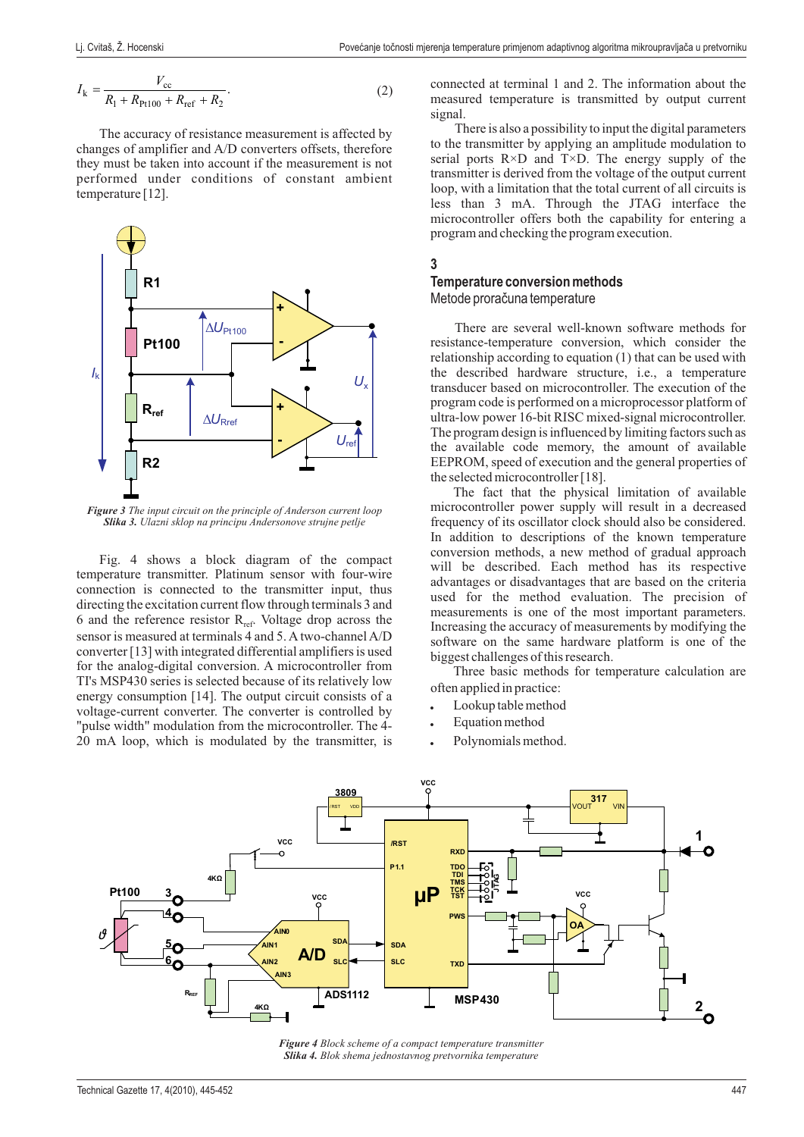$$
I_{k} = \frac{V_{cc}}{R_1 + R_{Pt100} + R_{ref} + R_2}.
$$
 (2)

The accuracy of resistance measurement is affected by changes of amplifier and A/D converters offsets, therefore they must be taken into account if the measurement is not performed under conditions of constant ambient temperature [12].



*Figure 3 The input circuit on the principle of Anderson current loop Slika 3. Ulazni sklop na principu Andersonove strujne petlje*

Fig. 4 shows a block diagram of the compact temperature transmitter. Platinum sensor with four-wire connection is connected to the transmitter input, thus directing the excitation current flow through terminals 3 and 6 and the reference resistor  $R_{ref}$ . Voltage drop across the sensor is measured at terminals 4 and 5. A two-channel A/D converter [13] with integrated differential amplifiers is used for the analog-digital conversion. A microcontroller from TI's MSP430 series is selected because of its relatively low energy consumption [14]. The output circuit consists of a voltage-current converter. The converter is controlled by "pulse width" modulation from the microcontroller. The 4- 20 mA loop, which is modulated by the transmitter, is connected at erminal 1 and 2. The information about the t measured temperature is transmitted by output current signal.

There is also a possibility to input the digital parameters to the transmitter by applying an amplitude modulation to serial ports  $R \times D$  and  $T \times D$ . The energy supply of the transmitter is derived from the voltage of the output current loop, with a limitation that the total current of all circuits is less than 3 mA. Through the JTAG interface the microcontroller offers both the capability for entering a program and checking the program execution.

## **3**

# **Temperature conversion methods**

Metode proračuna temperature

There are several well-known software methods for resistance-temperature conversion, which consider the relationship according to equation (1) that can be used with the described hardware structure, i.e., a temperature transducer based on microcontroller. The execution of the program code is performed on a microprocessor platform of ultra-low power 16-bit RISC mixed-signal microcontroller. The program design is influenced by limiting factors such as the available code memory, the amount of available EEPROM, speed of execution and the general properties of the selected microcontroller [18].

The fact that the physical limitation of available microcontroller power supply will result in a decreased frequency of its oscillator clock should also be considered. In addition to descriptions of the known temperature conversion methods, a new method of gradual approach will be described. Each method has its respective advantages or disadvantages that are based on the criteria used for the method evaluation. The precision of measurements is one of the most important parameters. Increasing the accuracy of measurements by modifying the software on the same hardware platform is one of the biggest challenges of this research.

Three basic methods for temperature calculation are often applied in practice:

- Lookup table method -
- Equation method -
- Polynomials method. -



*Figure 4 Block scheme of a compact temperature transmitter Slika 4. Blok shema jednostavnog pretvornika temperature*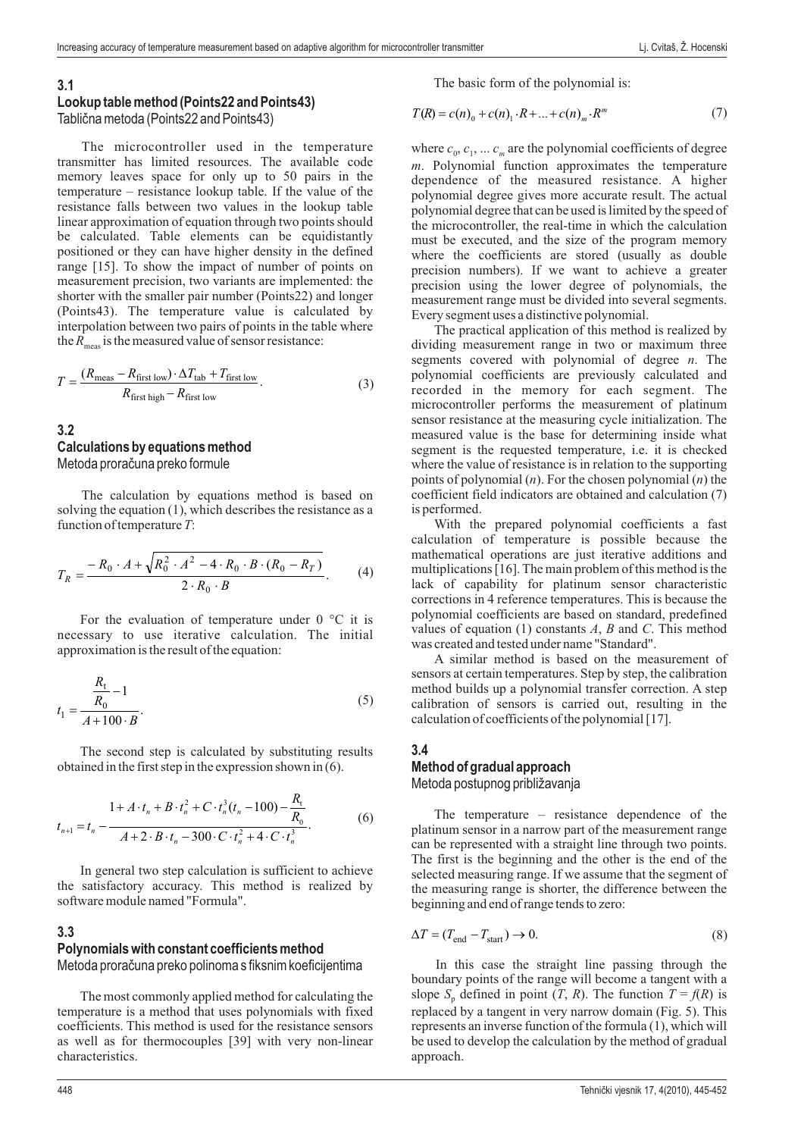#### **3.1**

#### **Lookup table method (Points22 and Points43)**

Tablična metoda (Points22 and Points43)

The microcontroller used in the temperature transmitter has limited resources. The available code memory leaves space for only up to 50 pairs in the temperature – resistance lookup table. If the value of the resistance falls between two values in the lookup table linear approximation of equation through two points should be calculated. Table elements can be equidistantly positioned or they can have higher density in the defined range [15]. To show the impact of number of points on measurement precision, two variants are implemented: the shorter with the smaller pair number (Points22) and longer (Points43). The temperature value is calculated by interpolation between two pairs of points in the table where the  $R_{\text{meas}}$  is the measured value of sensor resistance:

$$
T = \frac{(R_{\text{meas}} - R_{\text{first low}}) \cdot \Delta T_{\text{tab}} + T_{\text{first low}}}{R_{\text{first high}} - R_{\text{first low}}}.
$$
\n(3)

### **3.2 Calculations by equations method** Metoda proračuna preko formule

The calculation by equations method is based on solving the equation (1), which describes the resistance as a function of temperature  $T$ :

$$
T_R = \frac{-R_0 \cdot A + \sqrt{R_0^2 \cdot A^2 - 4 \cdot R_0 \cdot B \cdot (R_0 - R_T)}}{2 \cdot R_0 \cdot B}.
$$
 (4)

For the evaluation of temperature under  $0^{\circ}$ C it is necessary to use iterative calculation. The initial approximation is the result of the equation:

$$
t_1 = \frac{\frac{R_t}{R_0} - 1}{A + 100 \cdot B}.
$$
\n(5)

The second step is calculated by substituting results obtained in the first step in the expression shown in (6).

$$
t_{n+1} = t_n - \frac{1 + A \cdot t_n + B \cdot t_n^2 + C \cdot t_n^3 (t_n - 100) - \frac{R_t}{R_0}}{A + 2 \cdot B \cdot t_n - 300 \cdot C \cdot t_n^2 + 4 \cdot C \cdot t_n^3}.
$$
 (6)

In general two step calculation is sufficient to achieve the satisfactory accuracy. This method is realized by software module named "Formula".

### **3.3 Polynomials with constant coefficients method** Metoda proračuna preko polinoma s fiksnim koeficijentima

The most commonly applied method for calculating the temperature is a method that uses polynomials with fixed coefficients. This method is used for the resistance sensors as well as for thermocouples [39] with very non-linear characteristics.

The basic form of the polynomial is:

$$
T(R) = c(n)_0 + c(n)_1 \cdot R + \dots + c(n)_m \cdot R^m \tag{7}
$$

where  $c_0, c_1, \ldots c_m$  are the polynomial coefficients of degree . Polynomial function approximates the temperature *m* dependence of the measured resistance. A higher polynomial degree gives more accurate result. The actual polynomial degree that can be used is limited by the speed of the microcontroller, the real-time in which the calculation must be executed, and the size of the program memory where the coefficients are stored (usually as double precision numbers). If we want to achieve a greater precision using the lower degree of polynomials, the measurement range must be divided into several segments. Every segment uses a distinctive polynomial.

The practical application of this method is realized by dividing measurement range in two or maximum three segments covered with polynomial of degree *n*. The polynomial coefficients are previously calculated and recorded in the memory for each segment. The microcontroller performs the measurement of platinum sensor resistance at the measuring cycle initialization. The measured value is the base for determining inside what segment is the requested temperature, i.e. it is checked where the value of resistance is in relation to the supporting points of polynomial (*n*). For the chosen polynomial (*n*) the coefficient field indicators are obtained and calculation (7) is performed.

With the prepared polynomial coefficients a fast calculation of temperature is possible because the mathematical operations are just iterative additions and multiplications [16]. The main problem of this method is the lack of capability for platinum sensor characteristic corrections in 4 reference temperatures. This is because the polynomial coefficients are based on standard, predefined values of equation  $(1)$  constants  $A$ ,  $B$  and  $C$ . This method was created and tested under name "Standard".

A similar method is based on the measurement of sensors at certain temperatures. Step by step, the calibration method builds up a polynomial transfer correction. A step calibration of sensors is carried out, resulting in the calculation of coefficients of the polynomial [17].

#### **3.4 Method of gradual approach**

Metoda postupnog približavanja

The temperature – resistance dependence of the platinum sensor in a narrow part of the measurement range can be represented with a straight line through two points. The first is the beginning and the other is the end of the selected measuring range. If we assume that the segment of the measuring range is shorter, the difference between the beginning and end of range tends to zero:

$$
\Delta T = (T_{\text{end}} - T_{\text{start}}) \rightarrow 0. \tag{8}
$$

In this case the straight line passing through the boundary points of the range will become a tangent with a slope  $S_p$  defined in point  $(T, R)$ . The function  $T = f(R)$  is replaced by a tangent in very narrow domain (Fig. 5). This represents an inverse function of the formula (1), which will be used to develop the calculation by the method of gradual approach.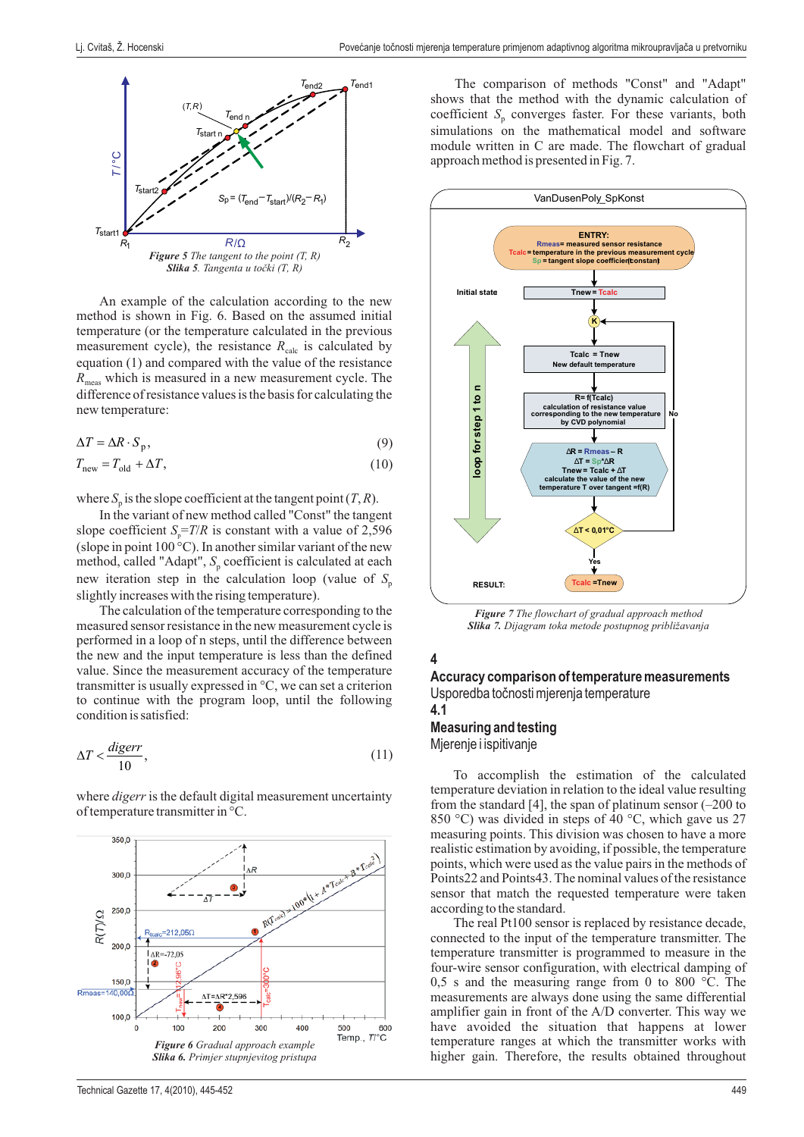

An example of the calculation according to the new method is shown in Fig. 6. Based on the assumed initial temperature (or the temperature calculated in the previous measurement cycle), the resistance  $R_{\text{calc}}$  is calculated by equation (1) and compared with the value of the resistance which is measured in a new measurement cycle. The *R* meas difference of resistance values is the basis for calculating the new temperature:

$$
\Delta T = \Delta R \cdot S_{\rm p},\tag{9}
$$

$$
T_{\text{new}} = T_{\text{old}} + \Delta T,\tag{10}
$$

where  $S_p$  is the slope coefficient at the tangent point  $(T, R)$ .

In the variant of new method called "Const" the tangent slope coefficient  $S_p = T/R$  is constant with a value of 2,596 (slope in point  $100^{\circ}$ C). In another similar variant of the new method, called "Adapt", S<sub>p</sub> coefficient is calculated at each new iteration step in the calculation loop (value of *S* p slightly increases with the rising temperature).

The calculation of the temperature corresponding to the measured sensor resistance in the new measurement cycle is performed in a loop of n steps, until the difference between the new and the input temperature is less than the defined value. Since the measurement accuracy of the temperature transmitter is usually expressed in °C, we can set a criterion to continue with the program loop, until the following condition is satisfied:

$$
\Delta T < \frac{digerr}{10},\tag{11}
$$

where *digerr* is the default digital measurement uncertainty of temperature transmitter in °C.



The comparison of methods "Const" and "Adapt" shows that the method with the dynamic calculation of coefficient  $S_p$  converges faster. For these variants, both simulations on the mathematical model and software module written in C are made. The flowchart of gradual approach method is presented in Fig. 7.



*Figure 7 The flowchart of gradual approach method Slika 7. Dijagram toka metode postupnog približavanja*

## **4**

#### **Accuracy comparison of temperature measurements** Usporedba točnosti mjerenja temperature

**4.1**

**Measuring and testing** Mjerenje i ispitivanje

To accomplish the estimation of the calculated temperature deviation in relation to the ideal value resulting from the standard [4], the span of platinum sensor (–200 to 850 °C) was divided in steps of 40 °C, which gave us 27 measuring points. This division was chosen to have a more realistic estimation by avoiding, if possible, the temperature points, which were used as the value pairs in the methods of Points22 and Points43. The nominal values of the resistance sensor that match the requested temperature were taken according to the standard.

The real Pt100 sensor is replaced by resistance decade, connected to the input of the temperature transmitter. The temperature transmitter is programmed to measure in the four-wire sensor configuration, with electrical damping of 0,5 s and the measuring range from 0 to 800  $\degree$ C. The measurements are always done using the same differential amplifier gain in front of the A/D converter. This way we have avoided the situation that happens at lower temperature ranges at which the transmitter works with higher gain. Therefore, the results obtained throughout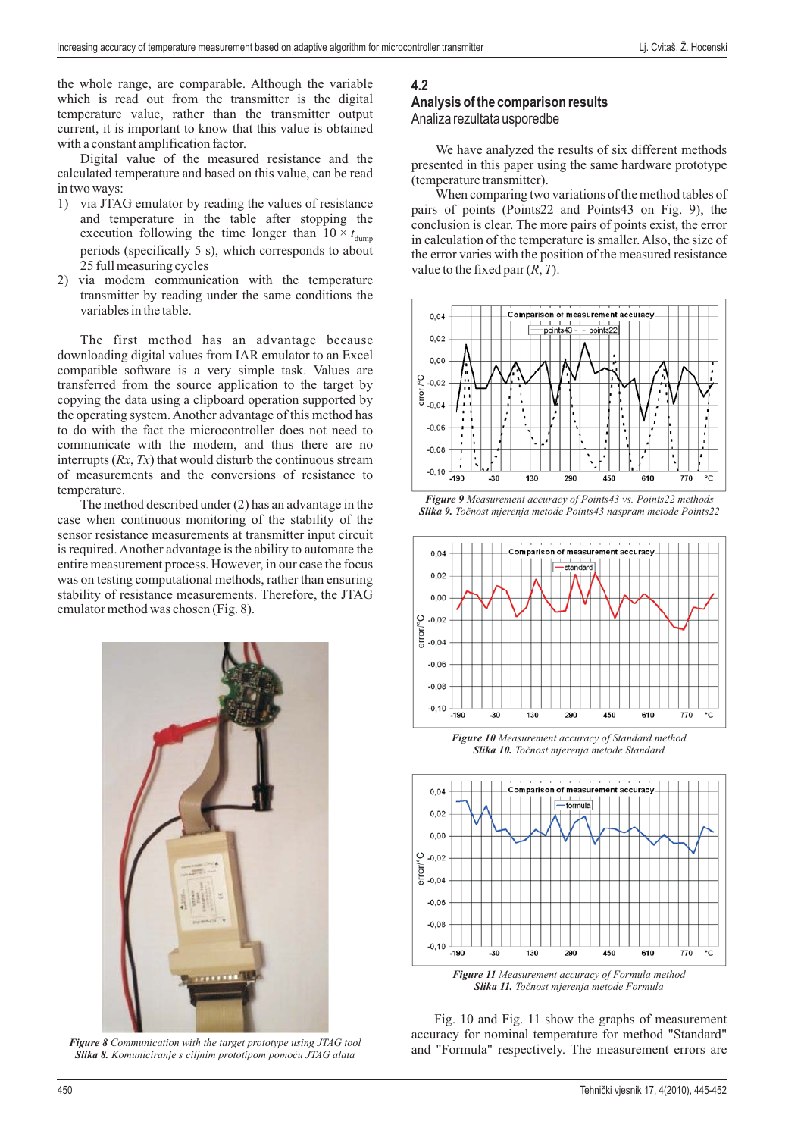the whole range, are comparable. Although the variable which is read out from the transmitter is the digital temperature value, rather than the transmitter output current, it is important to know that this value is obtained with a constant amplification factor.

Digital value of the measured resistance and the calculated temperature and based on this value, can be read in two ways:

- 1) via JTAG emulator by reading the values of resistance and temperature in the table after stopping the execution following the time longer than  $10 \times t_{\text{dump}}$ periods (specifically 5 s), which corresponds to about 25 full measuring cycles
- 2) via modem communication with the temperature transmitter by reading under the same conditions the variables in the table .

The first method has an advantage because downloading digital values from IAR emulator to an Excel compatible software is a very simple task. Values are transferred from the source application to the target by copying the data using a clipboard operation supported by the operating system. Another advantage of this method has to do with the fact the microcontroller does not need to communicate with the modem, and thus there are no interrupts  $(Rx, Tx)$  that would disturb the continuous stream of measurements and the conversions of resistance to temperature.

The method described under (2) has an advantage in the case when continuous monitoring of the stability of the sensor resistance measurements at transmitter input circuit is required. Another advantage is the ability to automate the entire measurement process. However, in our case the focus was on testing computational methods, rather than ensuring stability of resistance measurements. Therefore, the JTAG emulator method was chosen (Fig. 8).



*Figure 8 Communication with the target prototype using JTAG tool Slika 8. Komuniciranje s ciljnim prototipom pomoću JTAG alata*

### **4.2**

### **Analysis of the comparison results** Analiza rezultata usporedbe

We have analyzed the results of six different methods presented in this paper using the same hardware prototype (temperature transmitter).

When comparing two variations of the method tables of pairs of points (Points22 and Points43 on Fig. 9), the conclusion is clear. The more pairs of points exist, the error in calculation of the temperature is smaller. Also, the size of the error varies with the position of the measured resistance value to the fixed pair  $(R, T)$ .







*Figure 10 Measurement accuracy of Standard method Slika 10. Točnost mjerenja metode Standard*



*Slika 11. Točnost mjerenja metode Formula*

Fig. 10 and Fig. 11 show the graphs of measurement accuracy for nominal temperature for method "Standard" and "Formula" respectively. The measurement errors are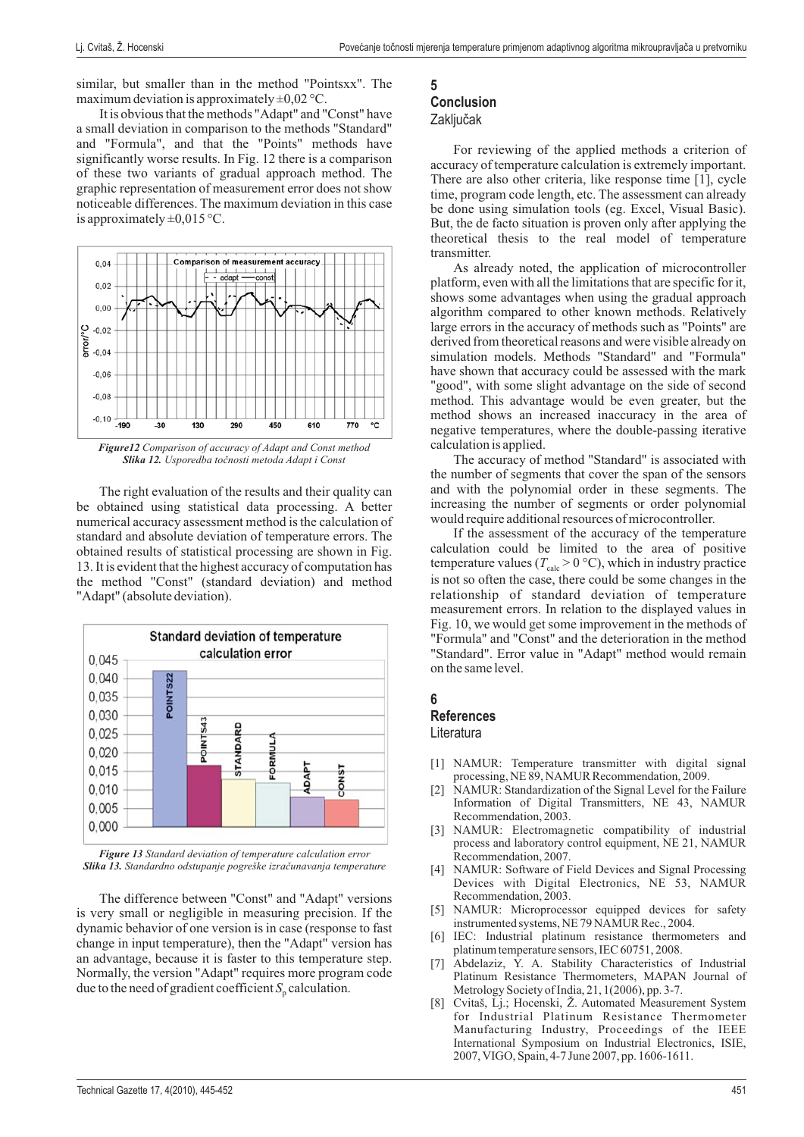similar, but smaller than in the method "Pointsxx". The maximum deviation is approximately  $\pm 0.02$  °C.

It is obvious that the methods "Adapt" and "Const" have a small deviation in comparison to the methods "Standard" and "Formula", and that the "Points" methods have significantly worse results. In Fig. 12 there is a comparison of these two variants of gradual approach method. The graphic representation of measurement error does not show noticeable differences. The maximum deviation in this case is approximately  $\pm 0.015$  °C.



*Slika 12. Usporedba točnosti metoda Adapt i Const*

The right evaluation of the results and their quality can be obtained using statistical data processing. A better numerical accuracy assessment method is the calculation of standard and absolute deviation of temperature errors. The obtained results of statistical processing are shown in Fig. 13. It is evident that the highest accuracy of computation has the method "Const" (standard deviation) and method "Adapt" (absolute deviation).



*Figure 13 Standard deviation of temperature calculation error Slika 13. Standardno odstupanje pogreške izračunavanja temperature*

The difference between "Const" and "Adapt" versions is very small or negligible in measuring precision. If the dynamic behavior of one version is in case (response to fast change in input temperature), then the "Adapt" version has an advantage, because it is faster to this temperature step. Normally, the version "Adapt" requires more program code due to the need of gradient coefficient  $S_p$  calculation.

# **5**

# **Conclusion**

## **Zaključak**

For reviewing of the applied methods a criterion of accuracy of temperature calculation is extremely important. There are also other criteria, like response time [1], cycle time, program code length, etc. The assessment can already be done using simulation tools (eg. Excel, Visual Basic). But, the de facto situation is proven only after applying the theoretical thesis to the real model of temperature transmitter.

As already noted, the application of microcontroller platform, even with all the limitations that are specific for it, shows some advantages when using the gradual approach algorithm compared to other known methods. Relatively large errors in the accuracy of methods such as "Points" are derived from theoretical reasons and were visible already on simulation models. Methods "Standard" and "Formula" have shown that accuracy could be assessed with the mark "good", with some slight advantage on the side of second method. This advantage would be even greater, but the method shows an increased inaccuracy in the area of negative temperatures, where the double-passing iterative calculation is applied.

The accuracy of method "Standard" is associated with the number of segments that cover the span of the sensors and with the polynomial order in these segments. The increasing the number of segments or order polynomial would require additional resources of microcontroller.

If the assessment of the accuracy of the temperature calculation could be limited to the area of positive temperature values ( $T_{\text{calc}} > 0$  °C), which in industry practice is not so often the case, there could be some changes in the relationship of standard deviation of temperature measurement errors. In relation to the displayed values in Fig. 10, we would get some improvement in the methods of "Formula" and "Const" and the deterioration in the method "Standard". Error value in "Adapt" method would remain on the same level.

### **6**

### **References**

Literatura

- [1] NAMUR: Temperature transmitter with digital signal processing, NE 89, NAMUR Recommendation, 2009.
- [2] NAMUR: Standardization of the Signal Level for the Failure Information of Digital Transmitters, NE 43, NAMUR Recommendation, 2003.
- [3] NAMUR: Electromagnetic compatibility of industrial process and laboratory control equipment, NE 21, NAMUR Recommendation, 2007.
- [4] NAMUR: Software of Field Devices and Signal Processing Devices with Digital Electronics, NE 53, NAMUR Recommendation, 2003.
- [5] NAMUR: Microprocessor equipped devices for safety instrumented systems, NE 79 NAMUR Rec., 2004 .
- [6] IEC: Industrial platinum resistance thermometers and platinum temperature sensors, IEC 60751, 2008 .
- [7] Abdelaziz, Y. A. Stability Characteristics of Industrial Platinum Resistance Thermometers, MAPAN Journal of Metrology Society of India, 21, 1(2006), pp. 3-7.
- [8] Cvitaš, Lj.; Hocenski, Ž. Automated Measurement System for Industrial Platinum Resistance Thermometer Manufacturing Industry, Proceedings of the IEEE International Symposium on Industrial Electronics, ISIE, 2007, VIGO, Spain, 4-7 June 2007, pp. 1606-1611 .